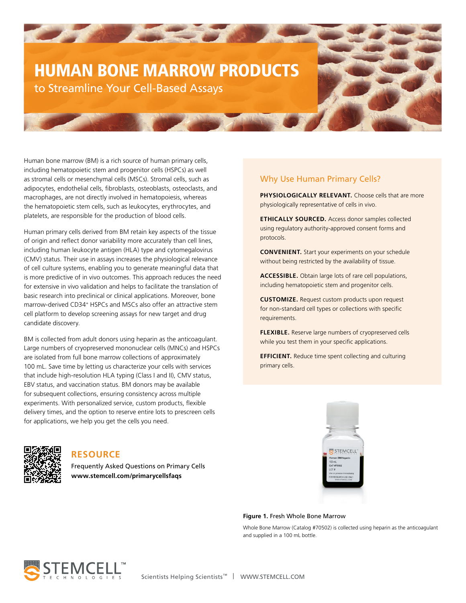# HUMAN BONE MARROW PRODUCTS to Streamline Your Cell-Based Assays

**All Property** 

Human bone marrow (BM) is a rich source of human primary cells, including hematopoietic stem and progenitor cells (HSPCs) as well as stromal cells or mesenchymal cells (MSCs). Stromal cells, such as adipocytes, endothelial cells, fibroblasts, osteoblasts, osteoclasts, and macrophages, are not directly involved in hematopoiesis, whereas the hematopoietic stem cells, such as leukocytes, erythrocytes, and platelets, are responsible for the production of blood cells.

Human primary cells derived from BM retain key aspects of the tissue of origin and reflect donor variability more accurately than cell lines, including human leukocyte antigen (HLA) type and cytomegalovirus (CMV) status. Their use in assays increases the physiological relevance of cell culture systems, enabling you to generate meaningful data that is more predictive of in vivo outcomes. This approach reduces the need for extensive in vivo validation and helps to facilitate the translation of basic research into preclinical or clinical applications. Moreover, bone marrow-derived CD34<sup>+</sup> HSPCs and MSCs also offer an attractive stem cell platform to develop screening assays for new target and drug candidate discovery.

BM is collected from adult donors using heparin as the anticoagulant. Large numbers of cryopreserved mononuclear cells (MNCs) and HSPCs are isolated from full bone marrow collections of approximately 100 mL. Save time by letting us characterize your cells with services that include high-resolution HLA typing (Class I and II), CMV status, EBV status, and vaccination status. BM donors may be available for subsequent collections, ensuring consistency across multiple experiments. With personalized service, custom products, flexible delivery times, and the option to reserve entire lots to prescreen cells for applications, we help you get the cells you need.

# Why Use Human Primary Cells?

**PHYSIOLOGICALLY RELEVANT.** Choose cells that are more physiologically representative of cells in vivo.

**ETHICALLY SOURCED.** Access donor samples collected using regulatory authority-approved consent forms and protocols.

**CONVENIENT.** Start your experiments on your schedule without being restricted by the availability of tissue.

**ACCESSIBLE.** Obtain large lots of rare cell populations, including hematopoietic stem and progenitor cells.

**CUSTOMIZE.** Request custom products upon request for non-standard cell types or collections with specific requirements.

**FLEXIBLE.** Reserve large numbers of cryopreserved cells while you test them in your specific applications.

**EFFICIENT.** Reduce time spent collecting and culturing primary cells.



# **RESOURCE**

Frequently Asked Questions on Primary Cells **www.stemcell.com/primarycellsfaqs**

#### **Figure 1.** Fresh Whole Bone Marrow

Whole Bone Marrow (Catalog #70502) is collected using heparin as the anticoagulant and supplied in a 100 mL bottle.

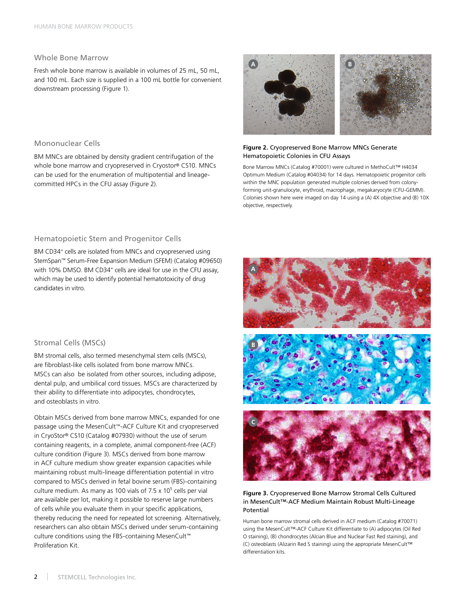#### Whole Bone Marrow

Fresh whole bone marrow is available in volumes of 25 mL, 50 mL, and 100 mL. Each size is supplied in a 100 mL bottle for convenient downstream processing (Figure 1).

#### Mononuclear Cells

BM MNCs are obtained by density gradient centrifugation of the whole bone marrow and cryopreserved in Cryostor® CS10. MNCs can be used for the enumeration of multipotential and lineagecommitted HPCs in the CFU assay (Figure 2).



#### **Figure 2.** Cryopreserved Bone Marrow MNCs Generate Hematopoietic Colonies in CFU Assays

Bone Marrow MNCs (Catalog #70001) were cultured in MethoCult™ H4034 Optimum Medium (Catalog #04034) for 14 days. Hematopoietic progenitor cells within the MNC population generated multiple colonies derived from colonyforming unit-granulocyte, erythroid, macrophage, megakaryocyte (CFU-GEMM). Colonies shown here were imaged on day 14 using a (A) 4X objective and (B) 10X objective, respectively.

#### Hematopoietic Stem and Progenitor Cells

BM CD34+ cells are isolated from MNCs and cryopreserved using StemSpan™ Serum-Free Expansion Medium (SFEM) (Catalog #09650) with 10% DMSO. BM CD34<sup>+</sup> cells are ideal for use in the CFU assay, which may be used to identify potential hematotoxicity of drug candidates in vitro.

#### Stromal Cells (MSCs)

BM stromal cells, also termed mesenchymal stem cells (MSCs), are fibroblast-like cells isolated from bone marrow MNCs. MSCs can also be isolated from other sources, including adipose, dental pulp, and umbilical cord tissues. MSCs are characterized by their ability to differentiate into adipocytes, chondrocytes, and osteoblasts in vitro.

Obtain MSCs derived from bone marrow MNCs, expanded for one passage using the MesenCult™-ACF Culture Kit and cryopreserved in CryoStor® CS10 (Catalog #07930) without the use of serum containing reagents, in a complete, animal component-free (ACF) culture condition (Figure 3). MSCs derived from bone marrow in ACF culture medium show greater expansion capacities while maintaining robust multi-lineage differentiation potential in vitro compared to MSCs derived in fetal bovine serum (FBS)-containing culture medium. As many as 100 vials of  $7.5 \times 10^5$  cells per vial are available per lot, making it possible to reserve large numbers of cells while you evaluate them in your specific applications, thereby reducing the need for repeated lot screening. Alternatively, researchers can also obtain MSCs derived under serum-containing culture conditions using the FBS-containing MesenCult™ Proliferation Kit.



#### **Figure 3.** Cryopreserved Bone Marrow Stromal Cells Cultured in MesenCult™-ACF Medium Maintain Robust Multi-Lineage Potential

Human bone marrow stromal cells derived in ACF medium (Catalog #70071) using the MesenCult™-ACF Culture Kit differentiate to (A) adipocytes (Oil Red O staining), (B) chondrocytes (Alcian Blue and Nuclear Fast Red staining), and (C) osteoblasts (Alizarin Red S staining) using the appropriate MesenCult™ differentiation kits.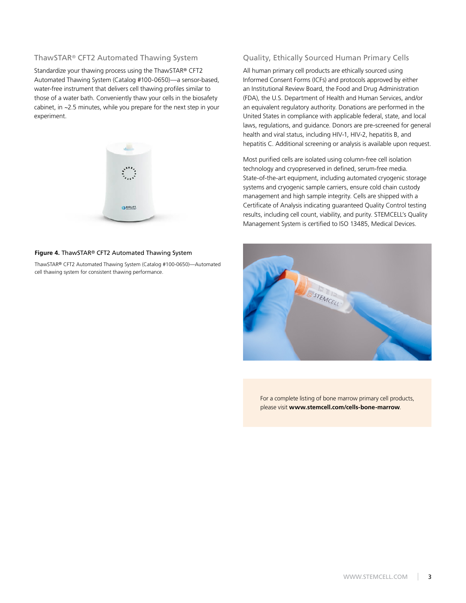#### ThawSTAR® CFT2 Automated Thawing System

Standardize your thawing process using the ThawSTAR® CFT2 Automated Thawing System (Catalog [#100-0650](https://www.stemcell.com/thawstar-cft2-automated-thawing-system.html))—a sensor-based, water-free instrument that delivers cell thawing profiles similar to those of a water bath. Conveniently thaw your cells in the biosafety cabinet, in ~2.5 minutes, while you prepare for the next step in your experiment.



#### **Figure 4.** ThawSTAR® CFT2 Automated Thawing System

ThawSTAR® CFT2 Automated Thawing System (Catalog #100-0650)—Automated cell thawing system for consistent thawing performance.

#### Quality, Ethically Sourced Human Primary Cells

All human primary cell products are ethically sourced using Informed Consent Forms (ICFs) and protocols approved by either an Institutional Review Board, the Food and Drug Administration (FDA), the U.S. Department of Health and Human Services, and/or an equivalent regulatory authority. Donations are performed in the United States in compliance with applicable federal, state, and local laws, regulations, and guidance. Donors are pre-screened for general health and viral status, including HIV-1, HIV-2, hepatitis B, and hepatitis C. Additional screening or analysis is available upon request.

Most purified cells are isolated using column-free cell isolation technology and cryopreserved in defined, serum-free media. State-of-the-art equipment, including automated cryogenic storage systems and cryogenic sample carriers, ensure cold chain custody management and high sample integrity. Cells are shipped with a Certificate of Analysis indicating guaranteed Quality Control testing results, including cell count, viability, and purity. STEMCELL's Quality Management System is certified to ISO 13485, Medical Devices.



For a complete listing of bone marrow primary cell products, please visit **www.stemcell.com/cells-bone-marrow**.